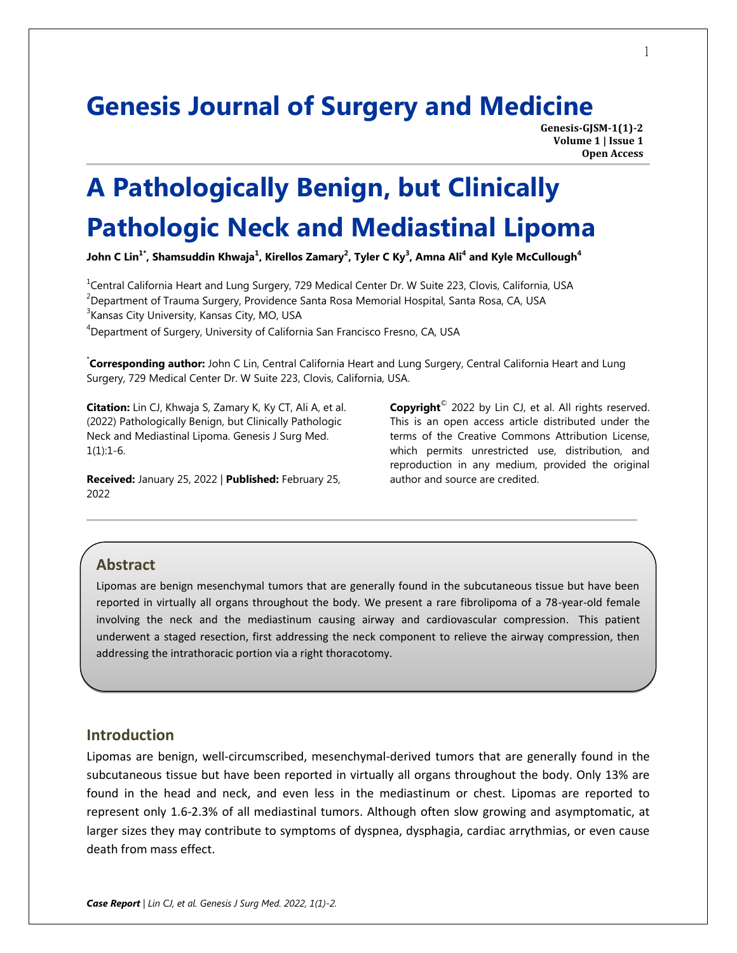## **Genesis Journal of Surgery and Medicine**

**Genesis-GJSM-1(1)-2 Volume 1 | Issue 1 Open Access**

# **A Pathologically Benign, but Clinically Pathologic Neck and Mediastinal Lipoma**

**John C Lin1\* , Shamsuddin Khwaja<sup>1</sup> , Kirellos Zamary<sup>2</sup> , Tyler C Ky<sup>3</sup> , Amna Ali<sup>4</sup> and Kyle McCullough<sup>4</sup>**

<sup>1</sup>Central California Heart and Lung Surgery, 729 Medical Center Dr. W Suite 223, Clovis, California, USA

<sup>2</sup>Department of Trauma Surgery, Providence Santa Rosa Memorial Hospital, Santa Rosa, CA, USA

<sup>3</sup> Kansas City University, Kansas City, MO, USA

<sup>4</sup>Department of Surgery, University of California San Francisco Fresno, CA, USA

\* **Corresponding author:** John C Lin, Central California Heart and Lung Surgery, Central California Heart and Lung Surgery, 729 Medical Center Dr. W Suite 223, Clovis, California, USA.

**Citation:** Lin CJ, Khwaja S, Zamary K, Ky CT, Ali A, et al. (2022) Pathologically Benign, but Clinically Pathologic Neck and Mediastinal Lipoma. Genesis J Surg Med.  $1(1):1-6.$ 

**Received:** January 25, 2022 | **Published:** February 25, 2022

**Copyright**© 2022 by Lin CJ, et al. All rights reserved. This is an open access article distributed under the terms of the Creative Commons Attribution License, which permits unrestricted use, distribution, and reproduction in any medium, provided the original author and source are credited.

#### **Abstract**

Lipomas are benign mesenchymal tumors that are generally found in the subcutaneous tissue but have been reported in virtually all organs throughout the body. We present a rare fibrolipoma of a 78-year-old female involving the neck and the mediastinum causing airway and cardiovascular compression. This patient underwent a staged resection, first addressing the neck component to relieve the airway compression, then addressing the intrathoracic portion via a right thoracotomy.

### **Introduction**

Lipomas are benign, well-circumscribed, mesenchymal-derived tumors that are generally found in the subcutaneous tissue but have been reported in virtually all organs throughout the body. Only 13% are found in the head and neck, and even less in the mediastinum or chest. Lipomas are reported to represent only 1.6-2.3% of all mediastinal tumors. Although often slow growing and asymptomatic, at larger sizes they may contribute to symptoms of dyspnea, dysphagia, cardiac arrythmias, or even cause death from mass effect.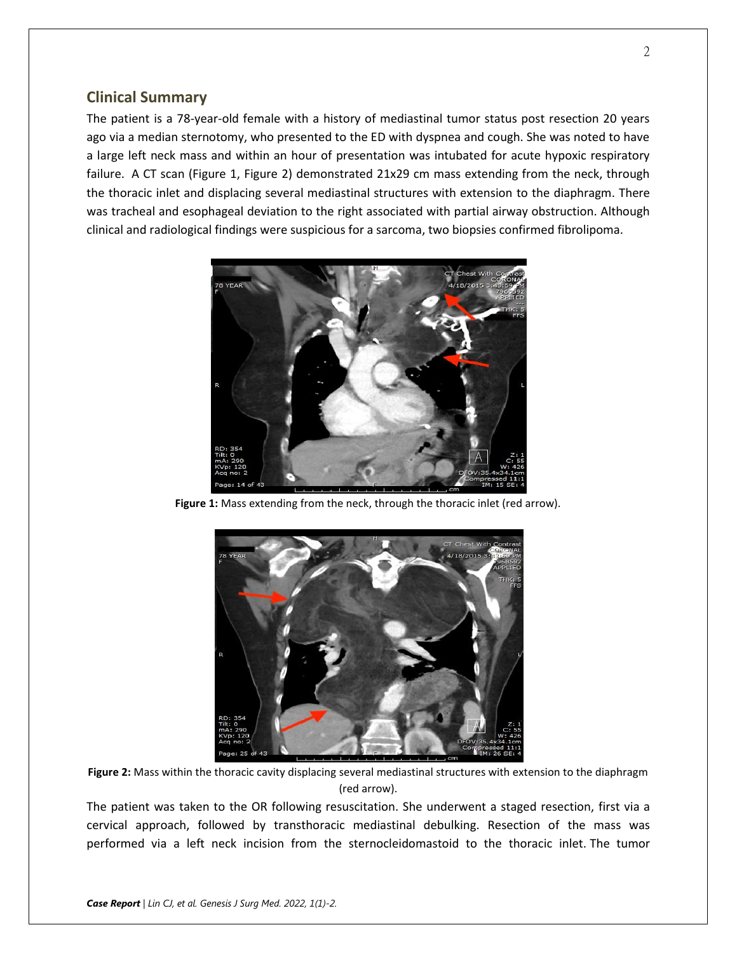#### **Clinical Summary**

The patient is a 78-year-old female with a history of mediastinal tumor status post resection 20 years ago via a median sternotomy, who presented to the ED with dyspnea and cough. She was noted to have a large left neck mass and within an hour of presentation was intubated for acute hypoxic respiratory failure. A CT scan (Figure 1, Figure 2) demonstrated 21x29 cm mass extending from the neck, through the thoracic inlet and displacing several mediastinal structures with extension to the diaphragm. There was tracheal and esophageal deviation to the right associated with partial airway obstruction. Although clinical and radiological findings were suspicious for a sarcoma, two biopsies confirmed fibrolipoma.



Figure 1: Mass extending from the neck, through the thoracic inlet (red arrow).



**Figure 2:** Mass within the thoracic cavity displacing several mediastinal structures with extension to the diaphragm (red arrow).

The patient was taken to the OR following resuscitation. She underwent a staged resection, first via a cervical approach, followed by transthoracic mediastinal debulking. Resection of the mass was performed via a left neck incision from the sternocleidomastoid to the thoracic inlet. The tumor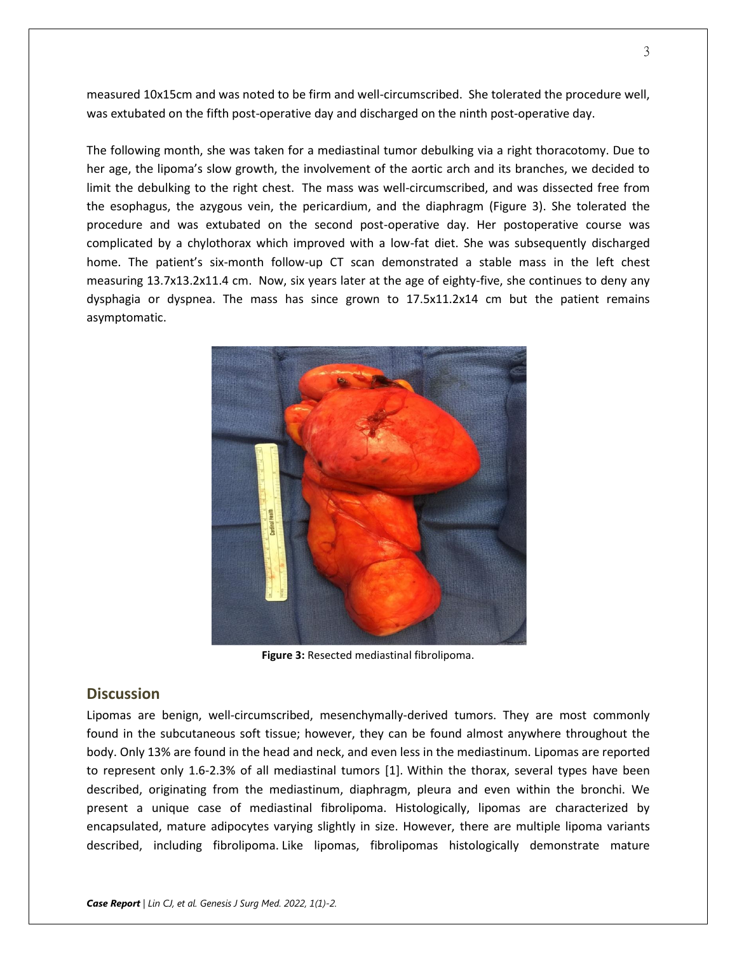measured 10x15cm and was noted to be firm and well-circumscribed. She tolerated the procedure well, was extubated on the fifth post-operative day and discharged on the ninth post-operative day.

The following month, she was taken for a mediastinal tumor debulking via a right thoracotomy. Due to her age, the lipoma's slow growth, the involvement of the aortic arch and its branches, we decided to limit the debulking to the right chest. The mass was well-circumscribed, and was dissected free from the esophagus, the azygous vein, the pericardium, and the diaphragm (Figure 3). She tolerated the procedure and was extubated on the second post-operative day. Her postoperative course was complicated by a chylothorax which improved with a low-fat diet. She was subsequently discharged home. The patient's six-month follow-up CT scan demonstrated a stable mass in the left chest measuring 13.7x13.2x11.4 cm. Now, six years later at the age of eighty-five, she continues to deny any dysphagia or dyspnea. The mass has since grown to 17.5x11.2x14 cm but the patient remains asymptomatic.



**Figure 3:** Resected mediastinal fibrolipoma.

#### **Discussion**

Lipomas are benign, well-circumscribed, mesenchymally-derived tumors. They are most commonly found in the subcutaneous soft tissue; however, they can be found almost anywhere throughout the body. Only 13% are found in the head and neck, and even less in the mediastinum. Lipomas are reported to represent only 1.6-2.3% of all mediastinal tumors [1]. Within the thorax, several types have been described, originating from the mediastinum, diaphragm, pleura and even within the bronchi. We present a unique case of mediastinal fibrolipoma. Histologically, lipomas are characterized by encapsulated, mature adipocytes varying slightly in size. However, there are multiple lipoma variants described, including fibrolipoma. Like lipomas, fibrolipomas histologically demonstrate mature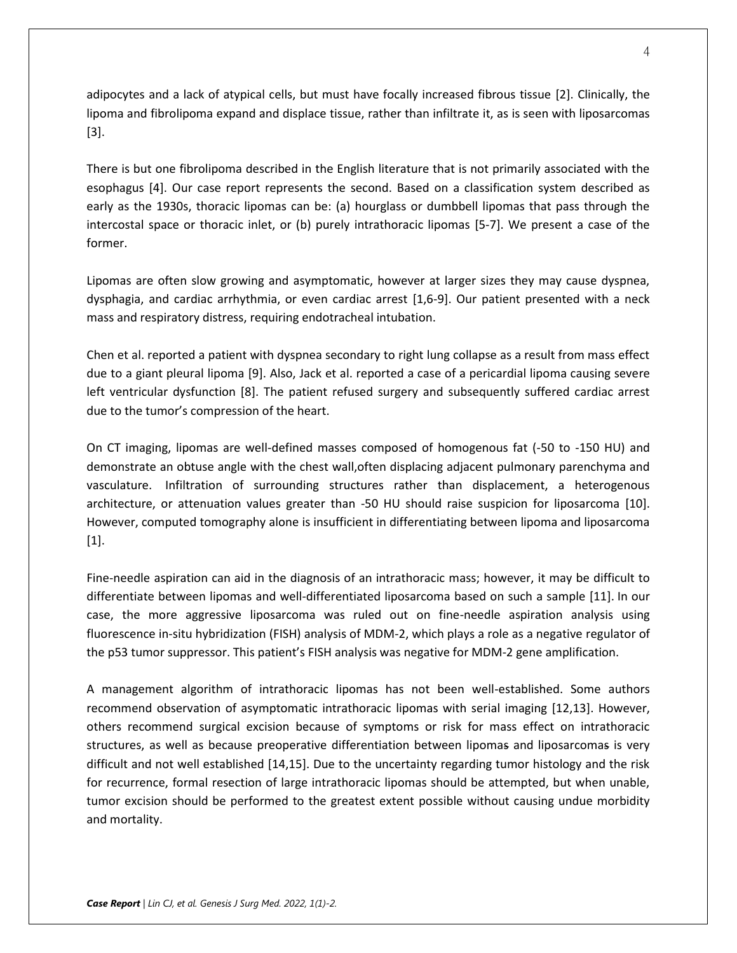adipocytes and a lack of atypical cells, but must have focally increased fibrous tissue [2]. Clinically, the lipoma and fibrolipoma expand and displace tissue, rather than infiltrate it, as is seen with liposarcomas [3].

There is but one fibrolipoma described in the English literature that is not primarily associated with the esophagus [4]. Our case report represents the second. Based on a classification system described as early as the 1930s, thoracic lipomas can be: (a) hourglass or dumbbell lipomas that pass through the intercostal space or thoracic inlet, or (b) purely intrathoracic lipomas [5-7]. We present a case of the former.

Lipomas are often slow growing and asymptomatic, however at larger sizes they may cause dyspnea, dysphagia, and cardiac arrhythmia, or even cardiac arrest [1,6-9]. Our patient presented with a neck mass and respiratory distress, requiring endotracheal intubation.

Chen et al. reported a patient with dyspnea secondary to right lung collapse as a result from mass effect due to a giant pleural lipoma [9]. Also, Jack et al. reported a case of a pericardial lipoma causing severe left ventricular dysfunction [8]. The patient refused surgery and subsequently suffered cardiac arrest due to the tumor's compression of the heart.

On CT imaging, lipomas are well-defined masses composed of homogenous fat (-50 to -150 HU) and demonstrate an obtuse angle with the chest wall,often displacing adjacent pulmonary parenchyma and vasculature. Infiltration of surrounding structures rather than displacement, a heterogenous architecture, or attenuation values greater than -50 HU should raise suspicion for liposarcoma [10]. However, computed tomography alone is insufficient in differentiating between lipoma and liposarcoma [1].

Fine-needle aspiration can aid in the diagnosis of an intrathoracic mass; however, it may be difficult to differentiate between lipomas and well-differentiated liposarcoma based on such a sample [11]. In our case, the more aggressive liposarcoma was ruled out on fine-needle aspiration analysis using fluorescence in-situ hybridization (FISH) analysis of MDM-2, which plays a role as a negative regulator of the p53 tumor suppressor. This patient's FISH analysis was negative for MDM-2 gene amplification.

A management algorithm of intrathoracic lipomas has not been well-established. Some authors recommend observation of asymptomatic intrathoracic lipomas with serial imaging [12,13]. However, others recommend surgical excision because of symptoms or risk for mass effect on intrathoracic structures, as well as because preoperative differentiation between lipomas and liposarcomas is very difficult and not well established [14,15]. Due to the uncertainty regarding tumor histology and the risk for recurrence, formal resection of large intrathoracic lipomas should be attempted, but when unable, tumor excision should be performed to the greatest extent possible without causing undue morbidity and mortality.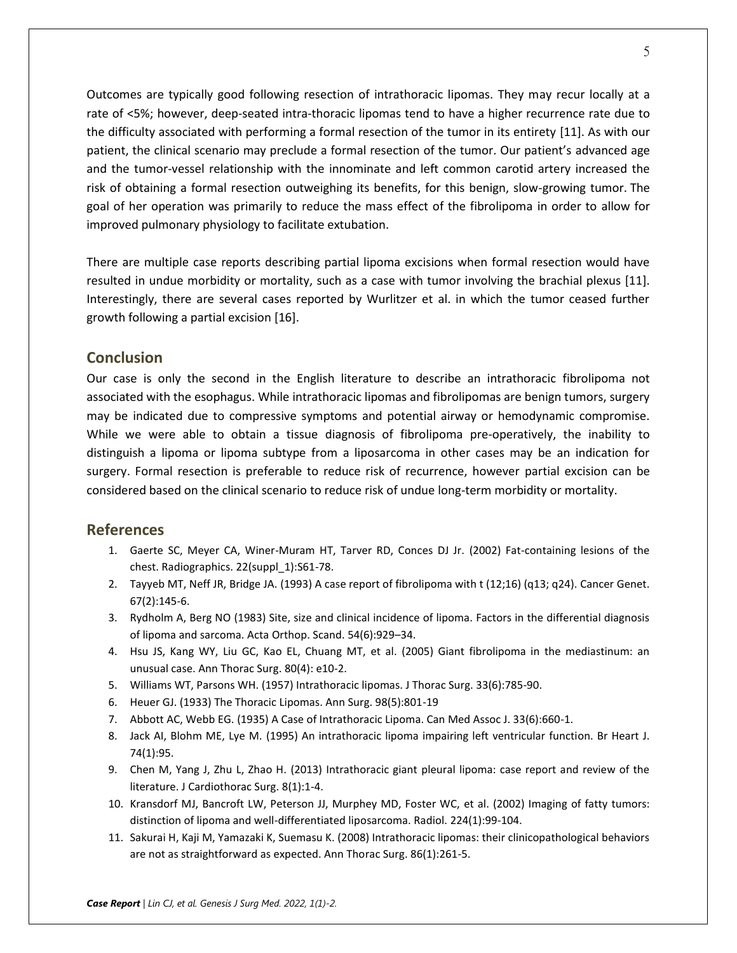Outcomes are typically good following resection of intrathoracic lipomas. They may recur locally at a rate of <5%; however, deep-seated intra-thoracic lipomas tend to have a higher recurrence rate due to the difficulty associated with performing a formal resection of the tumor in its entirety [11]. As with our patient, the clinical scenario may preclude a formal resection of the tumor. Our patient's advanced age and the tumor-vessel relationship with the innominate and left common carotid artery increased the risk of obtaining a formal resection outweighing its benefits, for this benign, slow-growing tumor. The goal of her operation was primarily to reduce the mass effect of the fibrolipoma in order to allow for improved pulmonary physiology to facilitate extubation.

There are multiple case reports describing partial lipoma excisions when formal resection would have resulted in undue morbidity or mortality, such as a case with tumor involving the brachial plexus [11]. Interestingly, there are several cases reported by Wurlitzer et al. in which the tumor ceased further growth following a partial excision [16].

#### **Conclusion**

Our case is only the second in the English literature to describe an intrathoracic fibrolipoma not associated with the esophagus. While intrathoracic lipomas and fibrolipomas are benign tumors, surgery may be indicated due to compressive symptoms and potential airway or hemodynamic compromise. While we were able to obtain a tissue diagnosis of fibrolipoma pre-operatively, the inability to distinguish a lipoma or lipoma subtype from a liposarcoma in other cases may be an indication for surgery. Formal resection is preferable to reduce risk of recurrence, however partial excision can be considered based on the clinical scenario to reduce risk of undue long-term morbidity or mortality.

#### **References**

- 1. Gaerte SC, Meyer CA, Winer-Muram HT, Tarver RD, Conces DJ Jr. (2002) Fat-containing lesions of the chest. Radiographics. 22(suppl\_1):S61-78.
- 2. Tayyeb MT, Neff JR, Bridge JA. (1993) A case report of fibrolipoma with t (12;16) (q13; q24). Cancer Genet. 67(2):145-6.
- 3. Rydholm A, Berg NO (1983) Site, size and clinical incidence of lipoma. Factors in the differential diagnosis of lipoma and sarcoma. Acta Orthop. Scand. 54(6):929–34.
- 4. Hsu JS, Kang WY, Liu GC, Kao EL, Chuang MT, et al. (2005) Giant fibrolipoma in the mediastinum: an unusual case. Ann Thorac Surg. 80(4): e10-2.
- 5. Williams WT, Parsons WH. (1957) Intrathoracic lipomas. J Thorac Surg. 33(6):785-90.
- 6. Heuer GJ. (1933) The Thoracic Lipomas. Ann Surg. 98(5):801-19
- 7. Abbott AC, Webb EG. (1935) A Case of Intrathoracic Lipoma. Can Med Assoc J. 33(6):660-1.
- 8. Jack AI, Blohm ME, Lye M. (1995) An intrathoracic lipoma impairing left ventricular function. Br Heart J. 74(1):95.
- 9. Chen M, Yang J, Zhu L, Zhao H. (2013) Intrathoracic giant pleural lipoma: case report and review of the literature. J Cardiothorac Surg. 8(1):1-4.
- 10. Kransdorf MJ, Bancroft LW, Peterson JJ, Murphey MD, Foster WC, et al. (2002) Imaging of fatty tumors: distinction of lipoma and well-differentiated liposarcoma. Radiol. 224(1):99-104.
- 11. Sakurai H, Kaji M, Yamazaki K, Suemasu K. (2008) Intrathoracic lipomas: their clinicopathological behaviors are not as straightforward as expected. Ann Thorac Surg. 86(1):261-5.